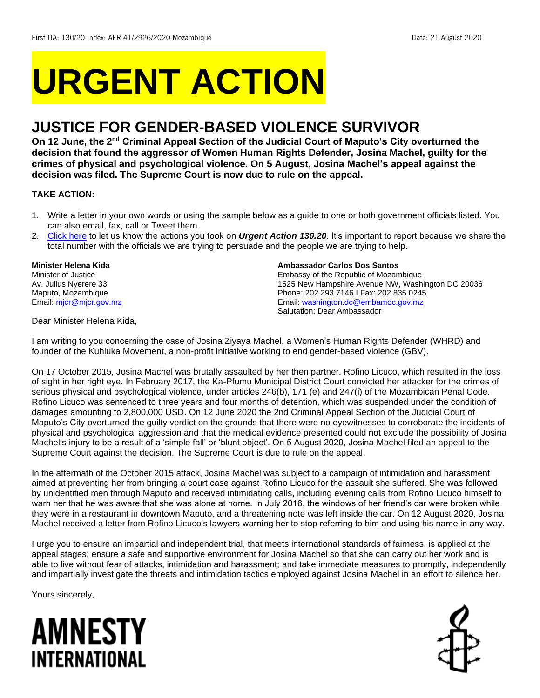# **URGENT ACTION**

## **JUSTICE FOR GENDER-BASED VIOLENCE SURVIVOR**

**On 12 June, the 2nd Criminal Appeal Section of the Judicial Court of Maputo's City overturned the decision that found the aggressor of Women Human Rights Defender, Josina Machel, guilty for the crimes of physical and psychological violence. On 5 August, Josina Machel's appeal against the decision was filed. The Supreme Court is now due to rule on the appeal.**

## **TAKE ACTION:**

- 1. Write a letter in your own words or using the sample below as a guide to one or both government officials listed. You can also email, fax, call or Tweet them.
- 2. [Click here](https://www.amnestyusa.org/report-urgent-actions/) to let us know the actions you took on *Urgent Action 130.20.* It's important to report because we share the total number with the officials we are trying to persuade and the people we are trying to help.

**Minister Helena Kida** Minister of Justice Av. Julius Nyerere 33 Maputo, Mozambique Email: micr@mjcr.gov.mz

#### **Ambassador Carlos Dos Santos**

Embassy of the Republic of Mozambique 1525 New Hampshire Avenue NW, Washington DC 20036 Phone: 202 293 7146 I Fax: 202 835 0245 Email[: washington.dc@embamoc.gov.mz](mailto:washington.dc@embamoc.gov.mz) Salutation: Dear Ambassador

Dear Minister Helena Kida,

I am writing to you concerning the case of Josina Ziyaya Machel, a Women's Human Rights Defender (WHRD) and founder of the Kuhluka Movement, a non-profit initiative working to end gender-based violence (GBV).

On 17 October 2015, Josina Machel was brutally assaulted by her then partner, Rofino Licuco, which resulted in the loss of sight in her right eye. In February 2017, the Ka-Pfumu Municipal District Court convicted her attacker for the crimes of serious physical and psychological violence, under articles 246(b), 171 (e) and 247(i) of the Mozambican Penal Code. Rofino Licuco was sentenced to three years and four months of detention, which was suspended under the condition of damages amounting to 2,800,000 USD. On 12 June 2020 the 2nd Criminal Appeal Section of the Judicial Court of Maputo's City overturned the guilty verdict on the grounds that there were no eyewitnesses to corroborate the incidents of physical and psychological aggression and that the medical evidence presented could not exclude the possibility of Josina Machel's injury to be a result of a 'simple fall' or 'blunt object'. On 5 August 2020, Josina Machel filed an appeal to the Supreme Court against the decision. The Supreme Court is due to rule on the appeal.

In the aftermath of the October 2015 attack, Josina Machel was subject to a campaign of intimidation and harassment aimed at preventing her from bringing a court case against Rofino Licuco for the assault she suffered. She was followed by unidentified men through Maputo and received intimidating calls, including evening calls from Rofino Licuco himself to warn her that he was aware that she was alone at home. In July 2016, the windows of her friend's car were broken while they were in a restaurant in downtown Maputo, and a threatening note was left inside the car. On 12 August 2020, Josina Machel received a letter from Rofino Licuco's lawyers warning her to stop referring to him and using his name in any way.

I urge you to ensure an impartial and independent trial, that meets international standards of fairness, is applied at the appeal stages; ensure a safe and supportive environment for Josina Machel so that she can carry out her work and is able to live without fear of attacks, intimidation and harassment; and take immediate measures to promptly, independently and impartially investigate the threats and intimidation tactics employed against Josina Machel in an effort to silence her.

Yours sincerely,